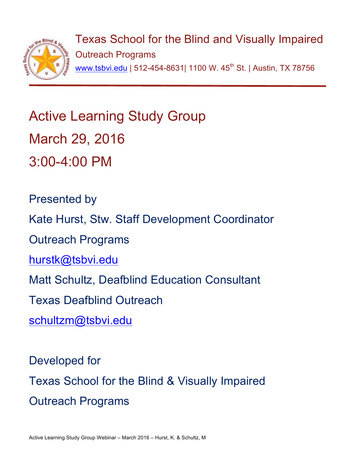

Texas School for the Blind and Visually Impaired Outreach Programs www.tsbvi.edu | 512-454-8631| 1100 W. 45<sup>th</sup> St. | Austin, TX 78756

# Active Learning Study Group March 29, 2016 3:00-4:00 PM

Presented by Kate Hurst, Stw. Staff Development Coordinator Outreach Programs hurstk@tsbvi.edu Matt Schultz, Deafblind Education Consultant Texas Deafblind Outreach schultzm@tsbvi.edu

Developed for Texas School for the Blind & Visually Impaired Outreach Programs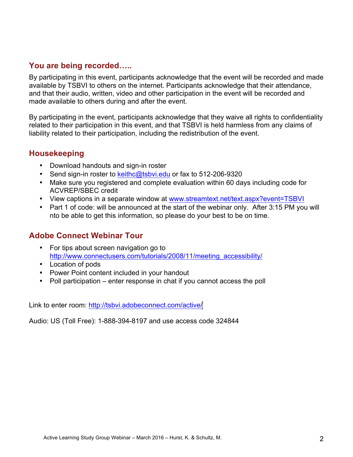#### **You are being recorded…..**

By participating in this event, participants acknowledge that the event will be recorded and made available by TSBVI to others on the internet. Participants acknowledge that their attendance, and that their audio, written, video and other participation in the event will be recorded and made available to others during and after the event.

By participating in the event, participants acknowledge that they waive all rights to confidentiality related to their participation in this event, and that TSBVI is held harmless from any claims of liability related to their participation, including the redistribution of the event.

#### **Housekeeping**

- Download handouts and sign-in roster
- Send sign-in roster to keithc@tsbvi.edu or fax to 512-206-9320
- Make sure you registered and complete evaluation within 60 days including code for ACVREP/SBEC credit
- View captions in a separate window at www.streamtext.net/text.aspx?event=TSBVI
- Part 1 of code: will be announced at the start of the webinar only. After 3:15 PM you will nto be able to get this information, so please do your best to be on time.

#### **Adobe Connect Webinar Tour**

- For tips about screen navigation go to http://www.connectusers.com/tutorials/2008/11/meeting\_accessibility/
- Location of pods
- Power Point content included in your handout
- Poll participation enter response in chat if you cannot access the poll

Link to enter room: http://tsbvi.adobeconnect.com/active/

Audio: US (Toll Free): 1-888-394-8197 and use access code 324844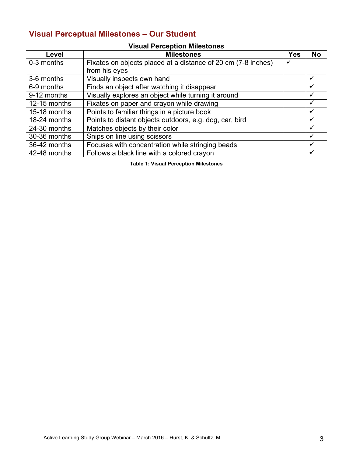## **Visual Perceptual Milestones – Our Student**

| <b>Visual Perception Milestones</b> |                                                               |            |           |  |  |  |  |  |
|-------------------------------------|---------------------------------------------------------------|------------|-----------|--|--|--|--|--|
| Level                               | <b>Milestones</b>                                             | <b>Yes</b> | <b>No</b> |  |  |  |  |  |
| 0-3 months                          | Fixates on objects placed at a distance of 20 cm (7-8 inches) |            |           |  |  |  |  |  |
|                                     | from his eyes                                                 |            |           |  |  |  |  |  |
| 3-6 months                          | Visually inspects own hand                                    |            | ✓         |  |  |  |  |  |
| 6-9 months                          | Finds an object after watching it disappear                   |            |           |  |  |  |  |  |
| 9-12 months                         | Visually explores an object while turning it around           |            | ✓         |  |  |  |  |  |
| 12-15 months                        | Fixates on paper and crayon while drawing                     |            |           |  |  |  |  |  |
| 15-18 months                        | Points to familiar things in a picture book                   |            |           |  |  |  |  |  |
| 18-24 months                        | Points to distant objects outdoors, e.g. dog, car, bird       |            |           |  |  |  |  |  |
| 24-30 months                        | Matches objects by their color                                |            |           |  |  |  |  |  |
| 30-36 months                        | Snips on line using scissors                                  |            |           |  |  |  |  |  |
| 36-42 months                        | Focuses with concentration while stringing beads              |            |           |  |  |  |  |  |
| 42-48 months                        | Follows a black line with a colored crayon                    |            |           |  |  |  |  |  |

**Table 1: Visual Perception Milestones**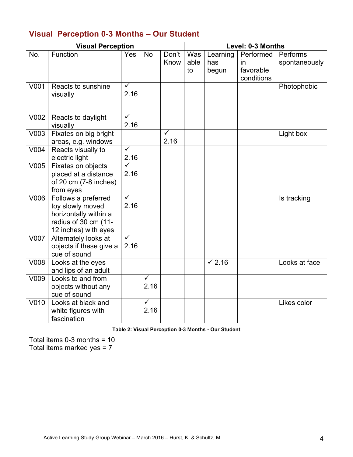|  | Visual Perception 0-3 Months - Our Student |  |  |  |  |
|--|--------------------------------------------|--|--|--|--|
|--|--------------------------------------------|--|--|--|--|

|      | <b>Visual Perception</b>                                                                                         |                                 |                                 |               | Level: 0-3 Months |                     |                         |                           |
|------|------------------------------------------------------------------------------------------------------------------|---------------------------------|---------------------------------|---------------|-------------------|---------------------|-------------------------|---------------------------|
| No.  | Function                                                                                                         | Yes                             | <b>No</b>                       | Don't<br>Know | Was<br>able       | Learning<br>has     | Performed<br>in         | Performs<br>spontaneously |
|      |                                                                                                                  |                                 |                                 |               | to                | begun               | favorable<br>conditions |                           |
| V001 | Reacts to sunshine<br>visually                                                                                   | $\overline{\checkmark}$<br>2.16 |                                 |               |                   |                     |                         | Photophobic               |
| V002 | Reacts to daylight<br>visually                                                                                   | $\overline{\checkmark}$<br>2.16 |                                 |               |                   |                     |                         |                           |
| V003 | Fixates on big bright<br>areas, e.g. windows                                                                     |                                 |                                 | ✓<br>2.16     |                   |                     |                         | Light box                 |
| V004 | Reacts visually to<br>electric light                                                                             | $\overline{\checkmark}$<br>2.16 |                                 |               |                   |                     |                         |                           |
| V005 | Fixates on objects<br>placed at a distance<br>of $20 \text{ cm}$ (7-8 inches)<br>from eyes                       | $\overline{\checkmark}$<br>2.16 |                                 |               |                   |                     |                         |                           |
| V006 | Follows a preferred<br>toy slowly moved<br>horizontally within a<br>radius of 30 cm (11-<br>12 inches) with eyes | $\overline{\checkmark}$<br>2.16 |                                 |               |                   |                     |                         | Is tracking               |
| V007 | Alternately looks at<br>objects if these give a<br>cue of sound                                                  | $\checkmark$<br>2.16            |                                 |               |                   |                     |                         |                           |
| V008 | Looks at the eyes<br>and lips of an adult                                                                        |                                 |                                 |               |                   | $\overline{6}$ 2.16 |                         | Looks at face             |
| V009 | Looks to and from<br>objects without any<br>cue of sound                                                         |                                 | $\overline{\checkmark}$<br>2.16 |               |                   |                     |                         |                           |
| V010 | Looks at black and<br>white figures with<br>fascination                                                          |                                 | $\overline{\checkmark}$<br>2.16 |               |                   |                     |                         | Likes color               |

**Table 2: Visual Perception 0-3 Months - Our Student**

Total items 0-3 months = 10 Total items marked yes = 7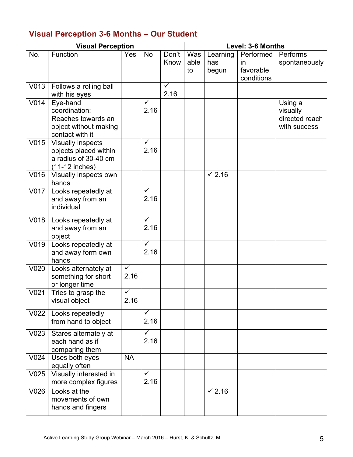## **Visual Perception 3-6 Months – Our Student**

|                  | <b>Visual Perception</b>                                                                      |                      |                                 |                         |      | Level: 3-6 Months |            |                                       |  |
|------------------|-----------------------------------------------------------------------------------------------|----------------------|---------------------------------|-------------------------|------|-------------------|------------|---------------------------------------|--|
| No.              | Function                                                                                      | Yes                  | No                              | Don't                   | Was  | Learning          | Performed  | Performs                              |  |
|                  |                                                                                               |                      |                                 | Know                    | able | has               | <i>in</i>  | spontaneously                         |  |
|                  |                                                                                               |                      |                                 |                         | to   | begun             | favorable  |                                       |  |
|                  |                                                                                               |                      |                                 |                         |      |                   | conditions |                                       |  |
| V013             | Follows a rolling ball                                                                        |                      |                                 | $\overline{\checkmark}$ |      |                   |            |                                       |  |
|                  | with his eyes                                                                                 |                      |                                 | 2.16                    |      |                   |            |                                       |  |
| V <sub>014</sub> | Eye-hand<br>coordination:<br>Reaches towards an                                               |                      | ✓<br>2.16                       |                         |      |                   |            | Using a<br>visually<br>directed reach |  |
|                  | object without making<br>contact with it                                                      |                      |                                 |                         |      |                   |            | with success                          |  |
| V <sub>015</sub> | <b>Visually inspects</b><br>objects placed within<br>a radius of 30-40 cm<br>$(11-12$ inches) |                      | $\checkmark$<br>2.16            |                         |      |                   |            |                                       |  |
| V016             | Visually inspects own<br>hands                                                                |                      |                                 |                         |      | $\times$ 2.16     |            |                                       |  |
| V017             | Looks repeatedly at<br>and away from an<br>individual                                         |                      | $\checkmark$<br>2.16            |                         |      |                   |            |                                       |  |
| V018             | Looks repeatedly at<br>and away from an<br>object                                             |                      | $\checkmark$<br>2.16            |                         |      |                   |            |                                       |  |
| V019             | Looks repeatedly at<br>and away form own<br>hands                                             |                      | $\checkmark$<br>2.16            |                         |      |                   |            |                                       |  |
| V020             | Looks alternately at<br>something for short<br>or longer time                                 | $\checkmark$<br>2.16 |                                 |                         |      |                   |            |                                       |  |
| V <sub>021</sub> | Tries to grasp the<br>visual object                                                           | 2.16                 |                                 |                         |      |                   |            |                                       |  |
| V022             | Looks repeatedly<br>from hand to object                                                       |                      | ✓<br>2.16                       |                         |      |                   |            |                                       |  |
| V023             | Stares alternately at<br>each hand as if<br>comparing them                                    |                      | $\checkmark$<br>2.16            |                         |      |                   |            |                                       |  |
| V <sub>024</sub> | Uses both eyes<br>equally often                                                               | <b>NA</b>            |                                 |                         |      |                   |            |                                       |  |
| V <sub>025</sub> | Visually interested in<br>more complex figures                                                |                      | $\overline{\checkmark}$<br>2.16 |                         |      |                   |            |                                       |  |
| V026             | Looks at the<br>movements of own<br>hands and fingers                                         |                      |                                 |                         |      | $\times$ 2.16     |            |                                       |  |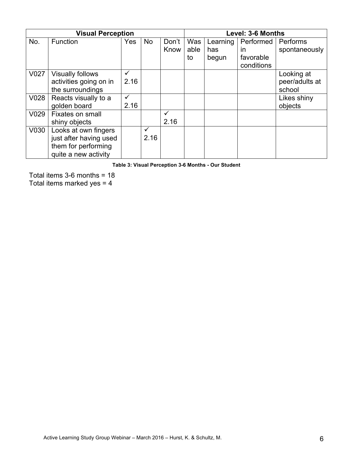|                  | <b>Visual Perception</b> |            | Level: 3-6 Months |       |      |          |            |                |
|------------------|--------------------------|------------|-------------------|-------|------|----------|------------|----------------|
| No.              | Function                 | <b>Yes</b> | <b>No</b>         | Don't | Was  | Learning | Performed  | Performs       |
|                  |                          |            |                   | Know  | able | has      | <i>in</i>  | spontaneously  |
|                  |                          |            |                   |       | to   | begun    | favorable  |                |
|                  |                          |            |                   |       |      |          | conditions |                |
| V <sub>027</sub> | <b>Visually follows</b>  |            |                   |       |      |          |            | Looking at     |
|                  | activities going on in   | 2.16       |                   |       |      |          |            | peer/adults at |
|                  | the surroundings         |            |                   |       |      |          |            | school         |
| V028             | Reacts visually to a     |            |                   |       |      |          |            | Likes shiny    |
|                  | golden board             | 2.16       |                   |       |      |          |            | objects        |
| V029             | Fixates on small         |            |                   | ✓     |      |          |            |                |
|                  | shiny objects            |            |                   | 2.16  |      |          |            |                |
| V030             | Looks at own fingers     |            | $\checkmark$      |       |      |          |            |                |
|                  | just after having used   |            | 2.16              |       |      |          |            |                |
|                  | them for performing      |            |                   |       |      |          |            |                |
|                  | quite a new activity     |            |                   |       |      |          |            |                |

**Table 3: Visual Perception 3-6 Months - Our Student**

Total items 3-6 months = 18 Total items marked yes = 4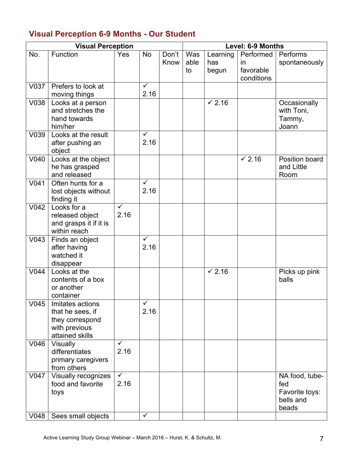## **Visual Perception 6-9 Months - Our Student**

|                  | <b>Visual Perception</b>          |              |                         |       | Level: 6-9 Months |               |                     |                        |
|------------------|-----------------------------------|--------------|-------------------------|-------|-------------------|---------------|---------------------|------------------------|
| No.              | Function                          | <b>Yes</b>   | <b>No</b>               | Don't | Was               | Learning      | Performed           | Performs               |
|                  |                                   |              |                         | Know  | able              | has           | <i>in</i>           | spontaneously          |
|                  |                                   |              |                         |       | to                | begun         | favorable           |                        |
|                  |                                   |              |                         |       |                   |               | conditions          |                        |
| V037             | Prefers to look at                |              | $\overline{\checkmark}$ |       |                   |               |                     |                        |
|                  | moving things                     |              | 2.16                    |       |                   |               |                     |                        |
| V038             | Looks at a person                 |              |                         |       |                   | $\times$ 2.16 |                     | Occasionally           |
|                  | and stretches the                 |              |                         |       |                   |               |                     | with Toni,             |
|                  | hand towards                      |              |                         |       |                   |               |                     | Tammy,                 |
|                  | him/her                           |              | $\overline{\checkmark}$ |       |                   |               |                     | Joann                  |
| V039             | Looks at the result               |              | 2.16                    |       |                   |               |                     |                        |
|                  | after pushing an                  |              |                         |       |                   |               |                     |                        |
| V <sub>040</sub> | object<br>Looks at the object     |              |                         |       |                   |               | $\overline{6}$ 2.16 | Position board         |
|                  | he has grasped                    |              |                         |       |                   |               |                     | and Little             |
|                  | and released                      |              |                         |       |                   |               |                     | Room                   |
| V <sub>041</sub> | Often hunts for a                 |              | $\sqrt{}$               |       |                   |               |                     |                        |
|                  | lost objects without              |              | 2.16                    |       |                   |               |                     |                        |
|                  | finding it                        |              |                         |       |                   |               |                     |                        |
| V <sub>042</sub> | Looks for a                       | $\checkmark$ |                         |       |                   |               |                     |                        |
|                  | released object                   | 2.16         |                         |       |                   |               |                     |                        |
|                  | and grasps it if it is            |              |                         |       |                   |               |                     |                        |
|                  | within reach                      |              |                         |       |                   |               |                     |                        |
| V <sub>043</sub> | Finds an object                   |              | $\checkmark$            |       |                   |               |                     |                        |
|                  | after having                      |              | 2.16                    |       |                   |               |                     |                        |
|                  | watched it                        |              |                         |       |                   |               |                     |                        |
|                  | disappear                         |              |                         |       |                   |               |                     |                        |
| V <sub>044</sub> | Looks at the<br>contents of a box |              |                         |       |                   | $\times$ 2.16 |                     | Picks up pink<br>balls |
|                  | or another                        |              |                         |       |                   |               |                     |                        |
|                  | container                         |              |                         |       |                   |               |                     |                        |
| V <sub>045</sub> | Imitates actions                  |              | $\checkmark$            |       |                   |               |                     |                        |
|                  | that he sees, if                  |              | 2.16                    |       |                   |               |                     |                        |
|                  | they correspond                   |              |                         |       |                   |               |                     |                        |
|                  | with previous                     |              |                         |       |                   |               |                     |                        |
|                  | attained skills                   |              |                         |       |                   |               |                     |                        |
| V046             | Visually                          | ✓            |                         |       |                   |               |                     |                        |
|                  | differentiates                    | 2.16         |                         |       |                   |               |                     |                        |
|                  | primary caregivers                |              |                         |       |                   |               |                     |                        |
|                  | from others                       |              |                         |       |                   |               |                     |                        |
| V <sub>047</sub> | Visually recognizes               | $\checkmark$ |                         |       |                   |               |                     | NA food, tube-         |
|                  | food and favorite                 | 2.16         |                         |       |                   |               |                     | fed                    |
|                  | toys                              |              |                         |       |                   |               |                     | Favorite toys:         |
|                  |                                   |              |                         |       |                   |               |                     | bells and<br>beads     |
| V048             | Sees small objects                |              | $\checkmark$            |       |                   |               |                     |                        |
|                  |                                   |              |                         |       |                   |               |                     |                        |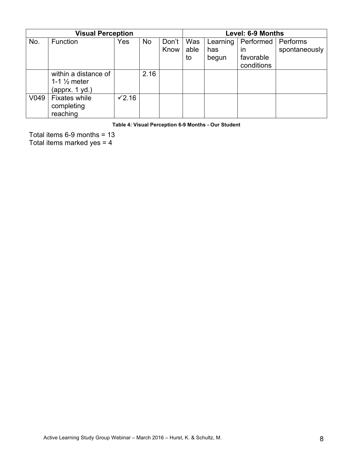|                  | <b>Visual Perception</b> |               | Level: 6-9 Months |       |      |          |              |               |
|------------------|--------------------------|---------------|-------------------|-------|------|----------|--------------|---------------|
| No.              | <b>Function</b>          | Yes           | <b>No</b>         | Don't | Was  | Learning | Performed    | Performs      |
|                  |                          |               |                   | Know  | able | has      | $\mathsf{I}$ | spontaneously |
|                  |                          |               |                   |       | to   | begun    | favorable    |               |
|                  |                          |               |                   |       |      |          | conditions   |               |
|                  | within a distance of     |               | 2.16              |       |      |          |              |               |
|                  | 1-1 $\frac{1}{2}$ meter  |               |                   |       |      |          |              |               |
|                  | (apprx. 1 yd.)           |               |                   |       |      |          |              |               |
| V <sub>049</sub> | <b>Fixates while</b>     | $\sqrt{2.16}$ |                   |       |      |          |              |               |
|                  | completing               |               |                   |       |      |          |              |               |
|                  | reaching                 |               |                   |       |      |          |              |               |

**Table 4: Visual Perception 6-9 Months - Our Student**

Total items 6-9 months = 13 Total items marked yes = 4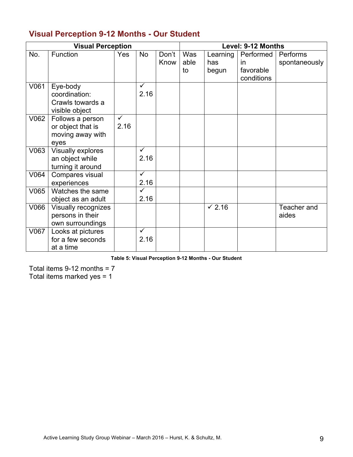## **Visual Perception 9-12 Months - Our Student**

|      | <b>Visual Perception</b>                                          |                      |                      |               | Level: 9-12 Months |                          |                                             |                                  |
|------|-------------------------------------------------------------------|----------------------|----------------------|---------------|--------------------|--------------------------|---------------------------------------------|----------------------------------|
| No.  | Function                                                          | <b>Yes</b>           | No                   | Don't<br>Know | Was<br>able<br>to  | Learning<br>has<br>begun | Performed<br>in.<br>favorable<br>conditions | <b>Performs</b><br>spontaneously |
| V061 | Eye-body<br>coordination:<br>Crawls towards a<br>visible object   |                      | $\checkmark$<br>2.16 |               |                    |                          |                                             |                                  |
| V062 | Follows a person<br>or object that is<br>moving away with<br>eyes | $\checkmark$<br>2.16 |                      |               |                    |                          |                                             |                                  |
| V063 | Visually explores<br>an object while<br>turning it around         |                      | $\checkmark$<br>2.16 |               |                    |                          |                                             |                                  |
| V064 | Compares visual<br>experiences                                    |                      | $\checkmark$<br>2.16 |               |                    |                          |                                             |                                  |
| V065 | Watches the same<br>object as an adult                            |                      | ✓<br>2.16            |               |                    |                          |                                             |                                  |
| V066 | Visually recognizes<br>persons in their<br>own surroundings       |                      |                      |               |                    | $\times$ 2.16            |                                             | Teacher and<br>aides             |
| V067 | Looks at pictures<br>for a few seconds<br>at a time               |                      | $\checkmark$<br>2.16 |               |                    |                          |                                             |                                  |

**Table 5: Visual Perception 9-12 Months - Our Student**

Total items 9-12 months = 7 Total items marked yes = 1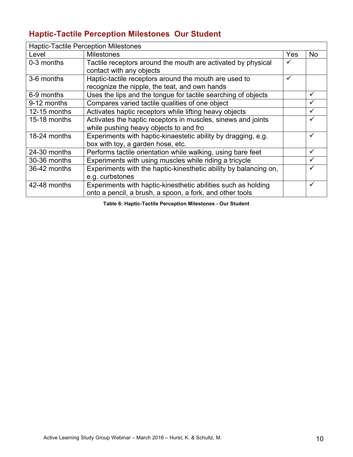## **Haptic-Tactile Perception Milestones Our Student**

|              | <b>Haptic-Tactile Perception Milestones</b>                      |     |              |
|--------------|------------------------------------------------------------------|-----|--------------|
| Level        | <b>Milestones</b>                                                | Yes | No           |
| 0-3 months   | Tactile receptors around the mouth are activated by physical     |     |              |
|              | contact with any objects                                         |     |              |
| 3-6 months   | Haptic-tactile receptors around the mouth are used to            | ✓   |              |
|              | recognize the nipple, the teat, and own hands                    |     |              |
| 6-9 months   | Uses the lips and the tongue for tactile searching of objects    |     | $\checkmark$ |
| 9-12 months  | Compares varied tactile qualities of one object                  |     |              |
| 12-15 months | Activates haptic receptors while lifting heavy objects           |     |              |
| 15-18 months | Activates the haptic receptors in muscles, sinews and joints     |     |              |
|              | while pushing heavy objects to and fro                           |     |              |
| 18-24 months | Experiments with haptic-kinaestetic ability by dragging, e.g.    |     | $\checkmark$ |
|              | box with toy, a garden hose, etc.                                |     |              |
| 24-30 months | Performs tactile orientation while walking, using bare feet      |     |              |
| 30-36 months | Experiments with using muscles while riding a tricycle           |     |              |
| 36-42 months | Experiments with the haptic-kinesthetic ability by balancing on, |     |              |
|              | e.g. curbstones                                                  |     |              |
| 42-48 months | Experiments with haptic-kinesthetic abilities such as holding    |     | ✓            |
|              | onto a pencil, a brush, a spoon, a fork, and other tools         |     |              |

**Table 6: Haptic-Tactile Perception Milestones - Our Student**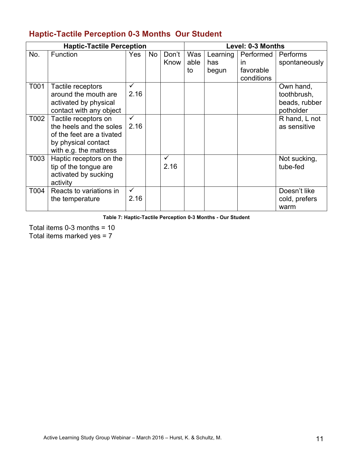|      | <b>Haptic-Tactile Perception</b> |              |           |              |      | Level: 0-3 Months |            |               |  |
|------|----------------------------------|--------------|-----------|--------------|------|-------------------|------------|---------------|--|
| No.  | Function                         | <b>Yes</b>   | <b>No</b> | Don't        | Was  | Learning          | Performed  | Performs      |  |
|      |                                  |              |           | Know         | able | has               | in.        | spontaneously |  |
|      |                                  |              |           |              | to   | begun             | favorable  |               |  |
|      |                                  |              |           |              |      |                   | conditions |               |  |
| T001 | Tactile receptors                | $\checkmark$ |           |              |      |                   |            | Own hand,     |  |
|      | around the mouth are             | 2.16         |           |              |      |                   |            | toothbrush,   |  |
|      | activated by physical            |              |           |              |      |                   |            | beads, rubber |  |
|      | contact with any object          |              |           |              |      |                   |            | potholder     |  |
| T002 | Tactile receptors on             | $\checkmark$ |           |              |      |                   |            | R hand, L not |  |
|      | the heels and the soles          | 2.16         |           |              |      |                   |            | as sensitive  |  |
|      | of the feet are a tivated        |              |           |              |      |                   |            |               |  |
|      | by physical contact              |              |           |              |      |                   |            |               |  |
|      | with e.g. the mattress           |              |           |              |      |                   |            |               |  |
| T003 | Haptic receptors on the          |              |           | $\checkmark$ |      |                   |            | Not sucking,  |  |
|      | tip of the tongue are            |              |           | 2.16         |      |                   |            | tube-fed      |  |
|      | activated by sucking             |              |           |              |      |                   |            |               |  |
|      | activity                         |              |           |              |      |                   |            |               |  |
| T004 | Reacts to variations in          | $\checkmark$ |           |              |      |                   |            | Doesn't like  |  |
|      | the temperature                  | 2.16         |           |              |      |                   |            | cold, prefers |  |
|      |                                  |              |           |              |      |                   |            | warm          |  |

#### **Haptic-Tactile Perception 0-3 Months Our Student**

**Table 7: Haptic-Tactile Perception 0-3 Months - Our Student**

Total items 0-3 months = 10 Total items marked yes = 7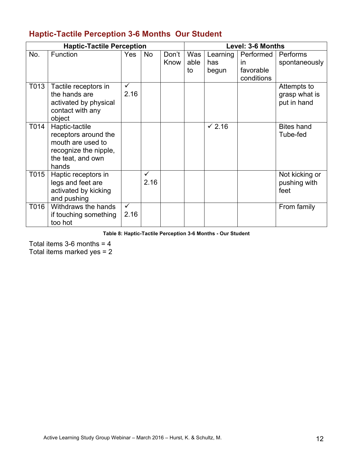|      | <b>Haptic-Tactile Perception</b>                                                                                   |                      |           |               |                   | Level: 3-6 Months        |                                             |                                             |  |
|------|--------------------------------------------------------------------------------------------------------------------|----------------------|-----------|---------------|-------------------|--------------------------|---------------------------------------------|---------------------------------------------|--|
| No.  | <b>Function</b>                                                                                                    | Yes                  | No.       | Don't<br>Know | Was<br>able<br>to | Learning<br>has<br>begun | Performed<br>in.<br>favorable<br>conditions | Performs<br>spontaneously                   |  |
| T013 | Tactile receptors in<br>the hands are<br>activated by physical<br>contact with any<br>object                       | $\checkmark$<br>2.16 |           |               |                   |                          |                                             | Attempts to<br>grasp what is<br>put in hand |  |
| T014 | Haptic-tactile<br>receptors around the<br>mouth are used to<br>recognize the nipple,<br>the teat, and own<br>hands |                      |           |               |                   | $\times$ 2.16            |                                             | <b>Bites hand</b><br>Tube-fed               |  |
| T015 | Haptic receptors in<br>legs and feet are<br>activated by kicking<br>and pushing                                    |                      | ✓<br>2.16 |               |                   |                          |                                             | Not kicking or<br>pushing with<br>feet      |  |
| T016 | Withdraws the hands<br>if touching something<br>too hot                                                            | $\checkmark$<br>2.16 |           |               |                   |                          |                                             | From family                                 |  |

#### **Haptic-Tactile Perception 3-6 Months Our Student**

**Table 8: Haptic-Tactile Perception 3-6 Months - Our Student**

Total items 3-6 months = 4 Total items marked yes = 2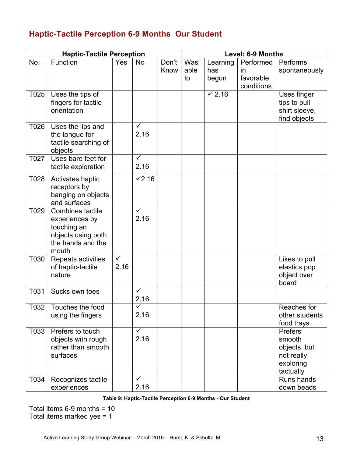## **Haptic-Tactile Perception 6-9 Months Our Student**

|      | <b>Haptic-Tactile Perception</b>        |              |                   |       | Level: 6-9 Months |               |            |                |
|------|-----------------------------------------|--------------|-------------------|-------|-------------------|---------------|------------|----------------|
| No.  | Function                                | <b>Yes</b>   | <b>No</b>         | Don't | Was               | Learning      | Performed  | Performs       |
|      |                                         |              |                   | Know  | able              | has           | in         | spontaneously  |
|      |                                         |              |                   |       | to                | begun         | favorable  |                |
|      |                                         |              |                   |       |                   |               | conditions |                |
| T025 | Uses the tips of                        |              |                   |       |                   | $\times$ 2.16 |            | Uses finger    |
|      | fingers for tactile                     |              |                   |       |                   |               |            | tips to pull   |
|      | orientation                             |              |                   |       |                   |               |            | shirt sleeve,  |
|      |                                         |              |                   |       |                   |               |            | find objects   |
| T026 | Uses the lips and                       |              | $\checkmark$      |       |                   |               |            |                |
|      | the tongue for                          |              | 2.16              |       |                   |               |            |                |
|      | tactile searching of                    |              |                   |       |                   |               |            |                |
| T027 | objects<br>Uses bare feet for           |              | $\checkmark$      |       |                   |               |            |                |
|      | tactile exploration                     |              | 2.16              |       |                   |               |            |                |
|      |                                         |              |                   |       |                   |               |            |                |
| T028 | Activates haptic                        |              | $\checkmark$ 2.16 |       |                   |               |            |                |
|      | receptors by                            |              |                   |       |                   |               |            |                |
|      | banging on objects                      |              |                   |       |                   |               |            |                |
|      | and surfaces                            |              |                   |       |                   |               |            |                |
| T029 | <b>Combines tactile</b>                 |              | ✓                 |       |                   |               |            |                |
|      | experiences by                          |              | 2.16              |       |                   |               |            |                |
|      | touching an                             |              |                   |       |                   |               |            |                |
|      | objects using both<br>the hands and the |              |                   |       |                   |               |            |                |
|      | mouth                                   |              |                   |       |                   |               |            |                |
| T030 | Repeats activities                      | $\checkmark$ |                   |       |                   |               |            | Likes to pull  |
|      | of haptic-tactile                       | 2.16         |                   |       |                   |               |            | elastics pop   |
|      | nature                                  |              |                   |       |                   |               |            | object over    |
|      |                                         |              |                   |       |                   |               |            | board          |
| T031 | Sucks own toes                          |              | $\checkmark$      |       |                   |               |            |                |
|      |                                         |              | 2.16              |       |                   |               |            |                |
|      | T032   Touches the food                 |              |                   |       |                   |               |            | Reaches for    |
|      | using the fingers                       |              | 2.16              |       |                   |               |            | other students |
|      |                                         |              |                   |       |                   |               |            | food trays     |
| T033 | Prefers to touch                        |              | $\checkmark$      |       |                   |               |            | Prefers        |
|      | objects with rough                      |              | 2.16              |       |                   |               |            | smooth         |
|      | rather than smooth                      |              |                   |       |                   |               |            | objects, but   |
|      | surfaces                                |              |                   |       |                   |               |            | not really     |
|      |                                         |              |                   |       |                   |               |            | exploring      |
|      |                                         |              | ✓                 |       |                   |               |            | tactually      |
| T034 | Recognizes tactile                      |              | 2.16              |       |                   |               |            | Runs hands     |
|      | experiences                             |              |                   |       |                   |               |            | down beads     |

**Table 9: Haptic-Tactile Perception 6-9 Months - Our Student**

Total items 6-9 months = 10 Total items marked yes = 1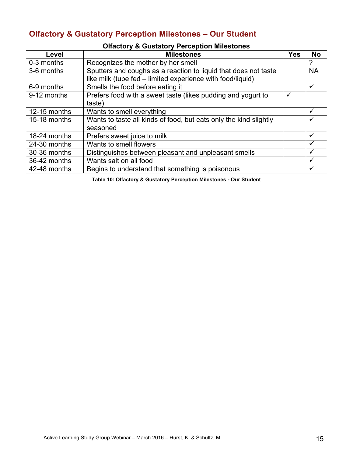## **Olfactory & Gustatory Perception Milestones – Our Student**

| <b>Olfactory &amp; Gustatory Perception Milestones</b> |                                                                                                                               |            |              |  |  |  |  |  |  |
|--------------------------------------------------------|-------------------------------------------------------------------------------------------------------------------------------|------------|--------------|--|--|--|--|--|--|
| Level                                                  | <b>Milestones</b>                                                                                                             | <b>Yes</b> | <b>No</b>    |  |  |  |  |  |  |
| 0-3 months                                             | Recognizes the mother by her smell                                                                                            |            | ?            |  |  |  |  |  |  |
| 3-6 months                                             | Sputters and coughs as a reaction to liquid that does not taste<br>like milk (tube fed – limited experience with food/liquid) |            | <b>NA</b>    |  |  |  |  |  |  |
| 6-9 months                                             | Smells the food before eating it                                                                                              |            | ✓            |  |  |  |  |  |  |
| 9-12 months                                            | Prefers food with a sweet taste (likes pudding and yogurt to                                                                  | ✓          |              |  |  |  |  |  |  |
|                                                        | taste)                                                                                                                        |            |              |  |  |  |  |  |  |
| 12-15 months                                           | Wants to smell everything                                                                                                     |            | v            |  |  |  |  |  |  |
| 15-18 months                                           | Wants to taste all kinds of food, but eats only the kind slightly                                                             |            | ✔            |  |  |  |  |  |  |
|                                                        | seasoned                                                                                                                      |            |              |  |  |  |  |  |  |
| 18-24 months                                           | Prefers sweet juice to milk                                                                                                   |            | $\checkmark$ |  |  |  |  |  |  |
| 24-30 months                                           | Wants to smell flowers                                                                                                        |            | $\checkmark$ |  |  |  |  |  |  |
| 30-36 months                                           | Distinguishes between pleasant and unpleasant smells                                                                          |            | M            |  |  |  |  |  |  |
| 36-42 months                                           | Wants salt on all food                                                                                                        |            | ✔            |  |  |  |  |  |  |
| 42-48 months                                           | Begins to understand that something is poisonous                                                                              |            |              |  |  |  |  |  |  |

**Table 10: Olfactory & Gustatory Perception Milestones - Our Student**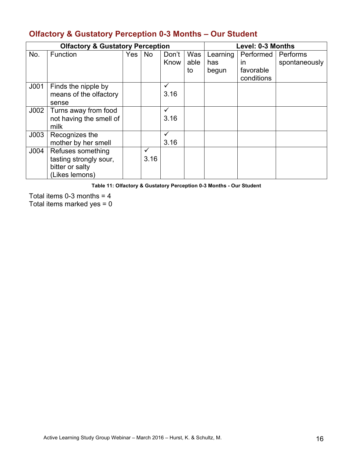|                  | <b>Olfactory &amp; Gustatory Perception</b> | Level: 0-3 Months |           |       |      |          |            |               |
|------------------|---------------------------------------------|-------------------|-----------|-------|------|----------|------------|---------------|
| No.              | <b>Function</b>                             | Yes               | <b>No</b> | Don't | Was  | Learning | Performed  | Performs      |
|                  |                                             |                   |           | Know  | able | has      | <i>in</i>  | spontaneously |
|                  |                                             |                   |           |       | to   | begun    | favorable  |               |
|                  |                                             |                   |           |       |      |          | conditions |               |
| J <sub>001</sub> | Finds the nipple by                         |                   |           | ✓     |      |          |            |               |
|                  | means of the olfactory                      |                   |           | 3.16  |      |          |            |               |
|                  | sense                                       |                   |           |       |      |          |            |               |
| J002             | Turns away from food                        |                   |           | ✓     |      |          |            |               |
|                  | not having the smell of                     |                   |           | 3.16  |      |          |            |               |
|                  | milk                                        |                   |           |       |      |          |            |               |
| J003             | Recognizes the                              |                   |           | ✓     |      |          |            |               |
|                  | mother by her smell                         |                   |           | 3.16  |      |          |            |               |
| J004             | Refuses something                           |                   | ✓         |       |      |          |            |               |
|                  | tasting strongly sour,                      |                   | 3.16      |       |      |          |            |               |
|                  | bitter or salty                             |                   |           |       |      |          |            |               |
|                  | (Likes lemons)                              |                   |           |       |      |          |            |               |

#### **Olfactory & Gustatory Perception 0-3 Months – Our Student**

**Table 11: Olfactory & Gustatory Perception 0-3 Months - Our Student**

Total items  $0-3$  months =  $4$ 

Total items marked yes  $= 0$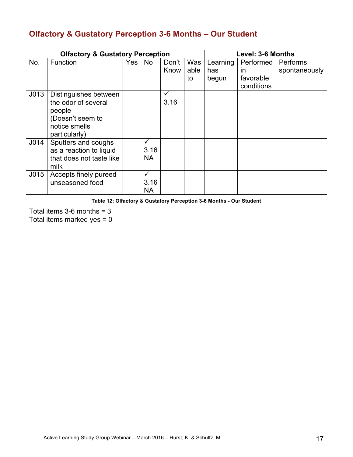#### **Olfactory & Gustatory Perception 3-6 Months – Our Student**

| <b>Olfactory &amp; Gustatory Perception</b> |                          |     |              |              |      |          | Level: 3-6 Months |               |  |  |
|---------------------------------------------|--------------------------|-----|--------------|--------------|------|----------|-------------------|---------------|--|--|
| No.                                         | Function                 | Yes | No           | Don't        | Was  | Learning | Performed         | Performs      |  |  |
|                                             |                          |     |              | Know         | able | has      | in                | spontaneously |  |  |
|                                             |                          |     |              |              | to   | begun    | favorable         |               |  |  |
|                                             |                          |     |              |              |      |          | conditions        |               |  |  |
| J <sub>013</sub>                            | Distinguishes between    |     |              | $\checkmark$ |      |          |                   |               |  |  |
|                                             | the odor of several      |     |              | 3.16         |      |          |                   |               |  |  |
|                                             | people                   |     |              |              |      |          |                   |               |  |  |
|                                             | (Doesn't seem to         |     |              |              |      |          |                   |               |  |  |
|                                             | notice smells            |     |              |              |      |          |                   |               |  |  |
|                                             | particularly)            |     |              |              |      |          |                   |               |  |  |
| J <sub>014</sub>                            | Sputters and coughs      |     |              |              |      |          |                   |               |  |  |
|                                             | as a reaction to liquid  |     | 3.16         |              |      |          |                   |               |  |  |
|                                             | that does not taste like |     | <b>NA</b>    |              |      |          |                   |               |  |  |
|                                             | milk                     |     |              |              |      |          |                   |               |  |  |
| J015                                        | Accepts finely pureed    |     | $\checkmark$ |              |      |          |                   |               |  |  |
|                                             | unseasoned food          |     | 3.16         |              |      |          |                   |               |  |  |
|                                             |                          |     | <b>NA</b>    |              |      |          |                   |               |  |  |

**Table 12: Olfactory & Gustatory Perception 3-6 Months - Our Student**

Total items 3-6 months = 3 Total items marked yes  $= 0$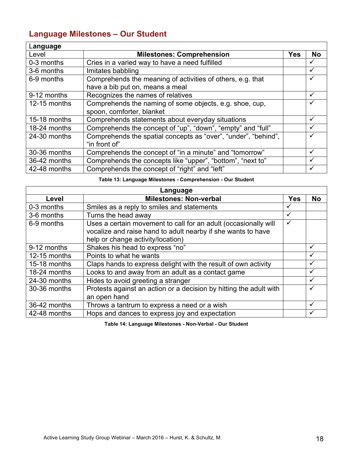## **Language Milestones – Our Student**

| Language     |                                                                                               |            |              |
|--------------|-----------------------------------------------------------------------------------------------|------------|--------------|
| Level        | <b>Milestones: Comprehension</b>                                                              | <b>Yes</b> | <b>No</b>    |
| 0-3 months   | Cries in a varied way to have a need fulfilled                                                |            |              |
| 3-6 months   | Imitates babbling                                                                             |            |              |
| 6-9 months   | Comprehends the meaning of activities of others, e.g. that<br>have a bib put on, means a meal |            | ✓            |
| 9-12 months  | Recognizes the names of relatives                                                             |            | $\checkmark$ |
| 12-15 months | Comprehends the naming of some objects, e.g. shoe, cup,<br>spoon, comforter, blanket          |            |              |
| 15-18 months | Comprehends statements about everyday situations                                              |            | $\checkmark$ |
| 18-24 months | Comprehends the concept of "up", "down", "empty" and "full"                                   |            | ✓            |
| 24-30 months | Comprehends the spatial concepts as "over", "under", "behind",<br>"in front of"               |            |              |
| 30-36 months | Comprehends the concept of "in a minute" and "tomorrow"                                       |            | $\checkmark$ |
| 36-42 months | Comprehends the concepts like "upper", "bottom", "next to"                                    |            | ✓            |
| 42-48 months | Comprehends the concept of "right" and "left"                                                 |            |              |

**Table 13: Language Milestones - Comprehension - Our Student**

| Language     |                                                                                                                                                                      |            |              |  |  |  |  |  |  |  |
|--------------|----------------------------------------------------------------------------------------------------------------------------------------------------------------------|------------|--------------|--|--|--|--|--|--|--|
| Level        | <b>Milestones: Non-verbal</b>                                                                                                                                        | <b>Yes</b> | <b>No</b>    |  |  |  |  |  |  |  |
| 0-3 months   | Smiles as a reply to smiles and statements                                                                                                                           |            |              |  |  |  |  |  |  |  |
| 3-6 months   | Turns the head away                                                                                                                                                  | ✓          |              |  |  |  |  |  |  |  |
| 6-9 months   | Uses a certain movement to call for an adult (occasionally will<br>vocalize and raise hand to adult nearby if she wants to have<br>help or change activity/location) | ✓          |              |  |  |  |  |  |  |  |
| 9-12 months  | Shakes his head to express "no"                                                                                                                                      |            | $\checkmark$ |  |  |  |  |  |  |  |
| 12-15 months | Points to what he wants                                                                                                                                              |            |              |  |  |  |  |  |  |  |
| 15-18 months | Claps hands to express delight with the result of own activity                                                                                                       |            | ✓            |  |  |  |  |  |  |  |
| 18-24 months | Looks to and away from an adult as a contact game                                                                                                                    |            |              |  |  |  |  |  |  |  |
| 24-30 months | Hides to avoid greeting a stranger                                                                                                                                   |            |              |  |  |  |  |  |  |  |
| 30-36 months | Protests against an action or a decision by hitting the adult with<br>an open hand                                                                                   |            |              |  |  |  |  |  |  |  |
| 36-42 months | Throws a tantrum to express a need or a wish                                                                                                                         |            |              |  |  |  |  |  |  |  |
| 42-48 months | Hops and dances to express joy and expectation                                                                                                                       |            |              |  |  |  |  |  |  |  |

**Table 14: Language Milestones - Non-Verbal - Our Student**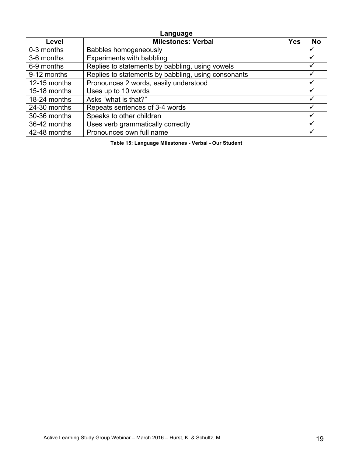| Language     |                                                     |            |                         |  |  |  |  |  |
|--------------|-----------------------------------------------------|------------|-------------------------|--|--|--|--|--|
| Level        | <b>Milestones: Verbal</b>                           | <b>Yes</b> | <b>No</b>               |  |  |  |  |  |
| 0-3 months   | <b>Babbles homogeneously</b>                        |            |                         |  |  |  |  |  |
| 3-6 months   | Experiments with babbling                           |            | $\overline{\mathbf{v}}$ |  |  |  |  |  |
| 6-9 months   | Replies to statements by babbling, using vowels     |            | M                       |  |  |  |  |  |
| 9-12 months  | Replies to statements by babbling, using consonants |            | $\checkmark$            |  |  |  |  |  |
| 12-15 months | Pronounces 2 words, easily understood               |            | $\checkmark$            |  |  |  |  |  |
| 15-18 months | Uses up to 10 words                                 |            | $\checkmark$            |  |  |  |  |  |
| 18-24 months | Asks "what is that?"                                |            | ✓                       |  |  |  |  |  |
| 24-30 months | Repeats sentences of 3-4 words                      |            | $\checkmark$            |  |  |  |  |  |
| 30-36 months | Speaks to other children                            |            | $\checkmark$            |  |  |  |  |  |
| 36-42 months | Uses verb grammatically correctly                   |            | $\checkmark$            |  |  |  |  |  |
| 42-48 months | Pronounces own full name                            |            |                         |  |  |  |  |  |

**Table 15: Language Milestones - Verbal - Our Student**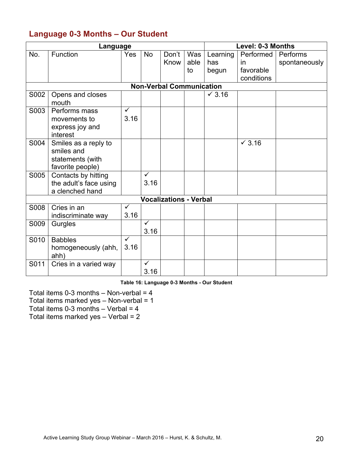#### **Language 0-3 Months – Our Student**

| Language                                           |                             |                         |              |                               | Level: 0-3 Months |          |               |               |  |  |  |
|----------------------------------------------------|-----------------------------|-------------------------|--------------|-------------------------------|-------------------|----------|---------------|---------------|--|--|--|
| No.                                                | Function                    | Yes                     | <b>No</b>    | Don't                         | Was               | Learning | Performed     | Performs      |  |  |  |
|                                                    |                             |                         |              | Know                          | able              | has      | <u>in</u>     | spontaneously |  |  |  |
|                                                    |                             |                         |              |                               | to                | begun    | favorable     |               |  |  |  |
|                                                    |                             |                         |              |                               |                   |          | conditions    |               |  |  |  |
| <b>Non-Verbal Communication</b>                    |                             |                         |              |                               |                   |          |               |               |  |  |  |
| S002<br>$\times$ 3.16<br>Opens and closes<br>mouth |                             |                         |              |                               |                   |          |               |               |  |  |  |
| S003                                               | Performs mass               | $\overline{\checkmark}$ |              |                               |                   |          |               |               |  |  |  |
|                                                    | movements to                | 3.16                    |              |                               |                   |          |               |               |  |  |  |
|                                                    | express joy and             |                         |              |                               |                   |          |               |               |  |  |  |
|                                                    | interest                    |                         |              |                               |                   |          |               |               |  |  |  |
| S004                                               | Smiles as a reply to        |                         |              |                               |                   |          | $\times$ 3.16 |               |  |  |  |
|                                                    | smiles and                  |                         |              |                               |                   |          |               |               |  |  |  |
|                                                    | statements (with            |                         |              |                               |                   |          |               |               |  |  |  |
|                                                    | favorite people)            |                         |              |                               |                   |          |               |               |  |  |  |
| S005                                               | Contacts by hitting         |                         | ✓            |                               |                   |          |               |               |  |  |  |
|                                                    | the adult's face using      |                         | 3.16         |                               |                   |          |               |               |  |  |  |
|                                                    | a clenched hand             |                         |              |                               |                   |          |               |               |  |  |  |
|                                                    |                             |                         |              | <b>Vocalizations - Verbal</b> |                   |          |               |               |  |  |  |
| S008                                               | Cries in an                 | $\checkmark$            |              |                               |                   |          |               |               |  |  |  |
|                                                    | indiscriminate way          | 3.16                    |              |                               |                   |          |               |               |  |  |  |
| S009                                               | Gurgles                     |                         | $\checkmark$ |                               |                   |          |               |               |  |  |  |
|                                                    |                             | $\checkmark$            | 3.16         |                               |                   |          |               |               |  |  |  |
| S010                                               | <b>Babbles</b>              |                         |              |                               |                   |          |               |               |  |  |  |
|                                                    | homogeneously (ahh,<br>ahh) | 3.16                    |              |                               |                   |          |               |               |  |  |  |
| S011                                               | Cries in a varied way       |                         | $\checkmark$ |                               |                   |          |               |               |  |  |  |
|                                                    |                             |                         | 3.16         |                               |                   |          |               |               |  |  |  |

**Table 16: Language 0-3 Months - Our Student**

Total items 0-3 months  $-$  Non-verbal = 4 Total items marked yes – Non-verbal = 1 Total items 0-3 months  $-$  Verbal = 4

Total items marked yes  $-$  Verbal = 2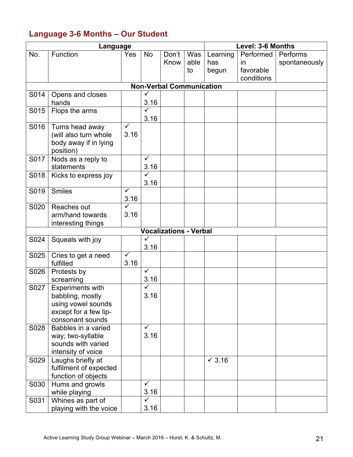## **Language 3-6 Months – Our Student**

|      | Language                                  |                         |              |                                 |      | Level: 3-6 Months |            |               |  |
|------|-------------------------------------------|-------------------------|--------------|---------------------------------|------|-------------------|------------|---------------|--|
| No.  | Function                                  | Yes                     | No           | Don't                           | Was  | Learning          | Performed  | Performs      |  |
|      |                                           |                         |              | Know                            | able | has               | in.        | spontaneously |  |
|      |                                           |                         |              |                                 | to   | begun             | favorable  |               |  |
|      |                                           |                         |              |                                 |      |                   | conditions |               |  |
|      |                                           |                         |              | <b>Non-Verbal Communication</b> |      |                   |            |               |  |
| S014 | Opens and closes                          |                         |              |                                 |      |                   |            |               |  |
|      | hands                                     |                         | 3.16         |                                 |      |                   |            |               |  |
| S015 | Flops the arms                            |                         | ✓            |                                 |      |                   |            |               |  |
|      |                                           |                         | 3.16         |                                 |      |                   |            |               |  |
| S016 | Turns head away                           | $\checkmark$            |              |                                 |      |                   |            |               |  |
|      | (will also turn whole                     | 3.16                    |              |                                 |      |                   |            |               |  |
|      | body away if in lying                     |                         |              |                                 |      |                   |            |               |  |
|      | position)                                 |                         |              |                                 |      |                   |            |               |  |
| S017 | Nods as a reply to                        |                         | ✓<br>3.16    |                                 |      |                   |            |               |  |
|      | statements                                |                         |              |                                 |      |                   |            |               |  |
| S018 | Kicks to express joy                      |                         | 3.16         |                                 |      |                   |            |               |  |
| S019 | <b>Smiles</b>                             | $\overline{\checkmark}$ |              |                                 |      |                   |            |               |  |
|      |                                           | 3.16                    |              |                                 |      |                   |            |               |  |
| S020 | Reaches out                               | ✓                       |              |                                 |      |                   |            |               |  |
|      | arm/hand towards                          | 3.16                    |              |                                 |      |                   |            |               |  |
|      | interesting things                        |                         |              |                                 |      |                   |            |               |  |
|      |                                           |                         |              | <b>Vocalizations - Verbal</b>   |      |                   |            |               |  |
| S024 | Squeals with joy                          |                         |              |                                 |      |                   |            |               |  |
|      |                                           |                         | 3.16         |                                 |      |                   |            |               |  |
| S025 | Cries to get a need                       | $\checkmark$            |              |                                 |      |                   |            |               |  |
|      | fulfilled                                 | 3.16                    |              |                                 |      |                   |            |               |  |
| S026 | Protests by                               |                         | $\checkmark$ |                                 |      |                   |            |               |  |
|      | screaming                                 |                         | 3.16         |                                 |      |                   |            |               |  |
| S027 | Experiments with                          |                         | ✓            |                                 |      |                   |            |               |  |
|      | babbling, mostly                          |                         | 3.16         |                                 |      |                   |            |               |  |
|      | using vowel sounds                        |                         |              |                                 |      |                   |            |               |  |
|      | except for a few lip-<br>consonant sounds |                         |              |                                 |      |                   |            |               |  |
| S028 | Babbles in a varied                       |                         | ✓            |                                 |      |                   |            |               |  |
|      | way; two-syllable                         |                         | 3.16         |                                 |      |                   |            |               |  |
|      | sounds with varied                        |                         |              |                                 |      |                   |            |               |  |
|      | intensity of voice                        |                         |              |                                 |      |                   |            |               |  |
| S029 | Laughs briefly at                         |                         |              |                                 |      | $\sqrt{3.16}$     |            |               |  |
|      | fulfilment of expected                    |                         |              |                                 |      |                   |            |               |  |
|      | function of objects                       |                         |              |                                 |      |                   |            |               |  |
| S030 | Hums and growls                           |                         | ✓            |                                 |      |                   |            |               |  |
|      | while playing                             |                         | 3.16         |                                 |      |                   |            |               |  |
| S031 | Whines as part of                         |                         | ✓            |                                 |      |                   |            |               |  |
|      | playing with the voice                    |                         | 3.16         |                                 |      |                   |            |               |  |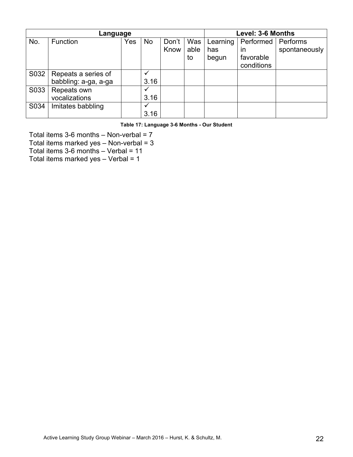|      | Language             | Level: 3-6 Months |           |               |                   |                          |                                                      |                           |
|------|----------------------|-------------------|-----------|---------------|-------------------|--------------------------|------------------------------------------------------|---------------------------|
| No.  | <b>Function</b>      | Yes               | <b>No</b> | Don't<br>Know | Was<br>able<br>to | Learning<br>has<br>begun | Performed<br>$\mathsf{I}$<br>favorable<br>conditions | Performs<br>spontaneously |
| S032 | Repeats a series of  |                   |           |               |                   |                          |                                                      |                           |
|      | babbling: a-ga, a-ga |                   | 3.16      |               |                   |                          |                                                      |                           |
| S033 | Repeats own          |                   |           |               |                   |                          |                                                      |                           |
|      | vocalizations        |                   | 3.16      |               |                   |                          |                                                      |                           |
| S034 | Imitates babbling    |                   |           |               |                   |                          |                                                      |                           |
|      |                      |                   | 3.16      |               |                   |                          |                                                      |                           |

**Table 17: Language 3-6 Months - Our Student**

Total items 3-6 months – Non-verbal = 7

Total items marked yes  $-$  Non-verbal = 3

Total items  $3-6$  months  $-$  Verbal = 11

Total items marked yes  $-$  Verbal = 1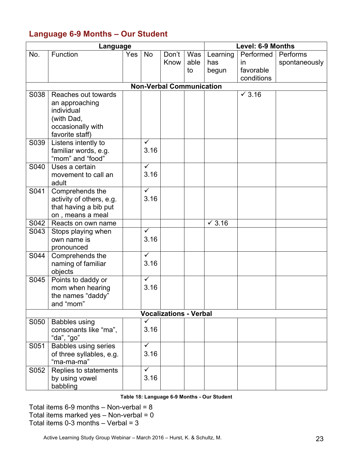#### **Language 6-9 Months – Our Student**

|      | Language                               | Level: 6-9 Months |              |                                 |      |               |               |               |
|------|----------------------------------------|-------------------|--------------|---------------------------------|------|---------------|---------------|---------------|
| No.  | Function                               | Yes               | <b>No</b>    | Don't                           | Was  | Learning      | Performed     | Performs      |
|      |                                        |                   |              | Know                            | able | has           | <i>in</i>     | spontaneously |
|      |                                        |                   |              |                                 | to   | begun         | favorable     |               |
|      |                                        |                   |              |                                 |      |               | conditions    |               |
|      |                                        |                   |              | <b>Non-Verbal Communication</b> |      |               |               |               |
| S038 | Reaches out towards                    |                   |              |                                 |      |               | $\times$ 3.16 |               |
|      | an approaching                         |                   |              |                                 |      |               |               |               |
|      | individual                             |                   |              |                                 |      |               |               |               |
|      | (with Dad,                             |                   |              |                                 |      |               |               |               |
|      | occasionally with                      |                   |              |                                 |      |               |               |               |
|      | favorite staff)                        |                   |              |                                 |      |               |               |               |
| S039 | Listens intently to                    |                   | ✓            |                                 |      |               |               |               |
|      | familiar words, e.g.                   |                   | 3.16         |                                 |      |               |               |               |
|      | "mom" and "food"                       |                   |              |                                 |      |               |               |               |
| S040 | Uses a certain                         |                   | $\checkmark$ |                                 |      |               |               |               |
|      | movement to call an                    |                   | 3.16         |                                 |      |               |               |               |
|      | adult                                  |                   | $\checkmark$ |                                 |      |               |               |               |
| S041 | Comprehends the                        |                   | 3.16         |                                 |      |               |               |               |
|      | activity of others, e.g.               |                   |              |                                 |      |               |               |               |
|      | that having a bib put                  |                   |              |                                 |      |               |               |               |
| S042 | on, means a meal<br>Reacts on own name |                   |              |                                 |      | $\times$ 3.16 |               |               |
| S043 | Stops playing when                     |                   | $\checkmark$ |                                 |      |               |               |               |
|      | own name is                            |                   | 3.16         |                                 |      |               |               |               |
|      | pronounced                             |                   |              |                                 |      |               |               |               |
| S044 | Comprehends the                        |                   | $\checkmark$ |                                 |      |               |               |               |
|      | naming of familiar                     |                   | 3.16         |                                 |      |               |               |               |
|      | objects                                |                   |              |                                 |      |               |               |               |
| S045 | Points to daddy or                     |                   | $\checkmark$ |                                 |      |               |               |               |
|      | mom when hearing                       |                   | 3.16         |                                 |      |               |               |               |
|      | the names "daddy"                      |                   |              |                                 |      |               |               |               |
|      | and "mom"                              |                   |              |                                 |      |               |               |               |
|      |                                        |                   |              | <b>Vocalizations - Verbal</b>   |      |               |               |               |
| S050 | <b>Babbles using</b>                   |                   |              |                                 |      |               |               |               |
|      | consonants like "ma",                  |                   | 3.16         |                                 |      |               |               |               |
|      | "da", "go"                             |                   |              |                                 |      |               |               |               |
| S051 | <b>Babbles using series</b>            |                   | $\checkmark$ |                                 |      |               |               |               |
|      | of three syllables, e.g.               |                   | 3.16         |                                 |      |               |               |               |
|      | "ma-ma-ma"                             |                   |              |                                 |      |               |               |               |
| S052 | Replies to statements                  |                   | $\checkmark$ |                                 |      |               |               |               |
|      | by using vowel                         |                   | 3.16         |                                 |      |               |               |               |
|      | babbling                               |                   |              |                                 |      |               |               |               |

**Table 18: Language 6-9 Months - Our Student**

Total items  $6-9$  months  $-$  Non-verbal = 8 Total items marked yes  $-$  Non-verbal = 0 Total items  $0-3$  months – Verbal =  $3$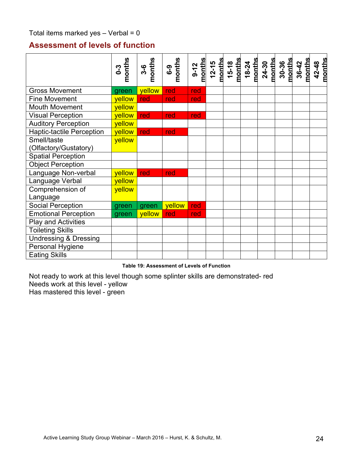#### Total items marked yes  $-$  Verbal = 0

#### **Assessment of levels of function**

|                                  | months<br>$0-3$ | 3-6<br>months | $6-9$<br>months | $9-12$<br>months | $\begin{array}{c} \text{12-15} \\ \text{months} \\ \text{15-18} \\ \text{months} \end{array}$ | months<br>18-24 | months<br>24-30 | 30-36<br>months | months<br>36-42 | months<br>42-48 |
|----------------------------------|-----------------|---------------|-----------------|------------------|-----------------------------------------------------------------------------------------------|-----------------|-----------------|-----------------|-----------------|-----------------|
|                                  |                 |               |                 |                  |                                                                                               |                 |                 |                 |                 |                 |
| <b>Gross Movement</b>            | green           | yellow        | red             | red              |                                                                                               |                 |                 |                 |                 |                 |
| <b>Fine Movement</b>             | yellow          | red           | red             | red              |                                                                                               |                 |                 |                 |                 |                 |
| <b>Mouth Movement</b>            | yellow          |               |                 |                  |                                                                                               |                 |                 |                 |                 |                 |
| <b>Visual Perception</b>         | <b>yellow</b>   | red           | red             | red              |                                                                                               |                 |                 |                 |                 |                 |
| <b>Auditory Perception</b>       | yellow          |               |                 |                  |                                                                                               |                 |                 |                 |                 |                 |
| Haptic-tactile Perception        | <b>yellow</b>   | red           | red             |                  |                                                                                               |                 |                 |                 |                 |                 |
| Smell/taste                      | <b>yellow</b>   |               |                 |                  |                                                                                               |                 |                 |                 |                 |                 |
| (Olfactory/Gustatory)            |                 |               |                 |                  |                                                                                               |                 |                 |                 |                 |                 |
| <b>Spatial Perception</b>        |                 |               |                 |                  |                                                                                               |                 |                 |                 |                 |                 |
| <b>Object Perception</b>         |                 |               |                 |                  |                                                                                               |                 |                 |                 |                 |                 |
| Language Non-verbal              | vellow          | red           | red             |                  |                                                                                               |                 |                 |                 |                 |                 |
| Language Verbal                  | yellow          |               |                 |                  |                                                                                               |                 |                 |                 |                 |                 |
| Comprehension of                 | yellow          |               |                 |                  |                                                                                               |                 |                 |                 |                 |                 |
| Language                         |                 |               |                 |                  |                                                                                               |                 |                 |                 |                 |                 |
| <b>Social Perception</b>         | green           | green         | yellow          | red              |                                                                                               |                 |                 |                 |                 |                 |
| <b>Emotional Perception</b>      | green           | yellow        | red             | red              |                                                                                               |                 |                 |                 |                 |                 |
| Play and Activities              |                 |               |                 |                  |                                                                                               |                 |                 |                 |                 |                 |
| <b>Toileting Skills</b>          |                 |               |                 |                  |                                                                                               |                 |                 |                 |                 |                 |
| <b>Undressing &amp; Dressing</b> |                 |               |                 |                  |                                                                                               |                 |                 |                 |                 |                 |
| Personal Hygiene                 |                 |               |                 |                  |                                                                                               |                 |                 |                 |                 |                 |
| <b>Eating Skills</b>             |                 |               |                 |                  |                                                                                               |                 |                 |                 |                 |                 |

**Table 19: Assessment of Levels of Function**

Not ready to work at this level though some splinter skills are demonstrated- red Needs work at this level - yellow Has mastered this level - green